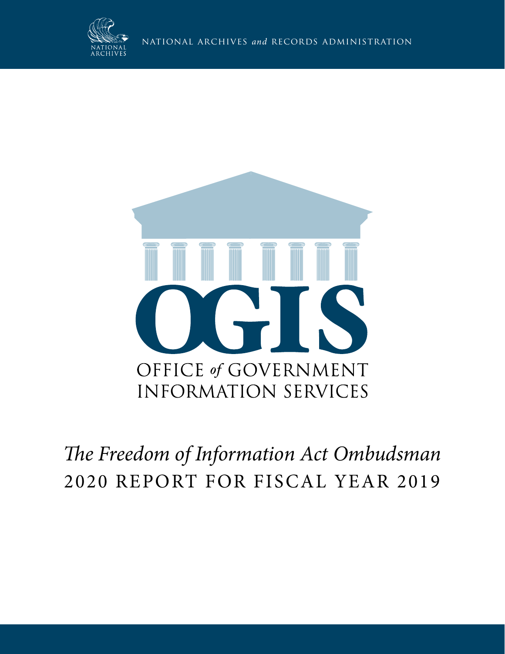



## **The Freedom of Information Act Ombudsman** 2020 REPORT FOR FISCAL YEAR 2019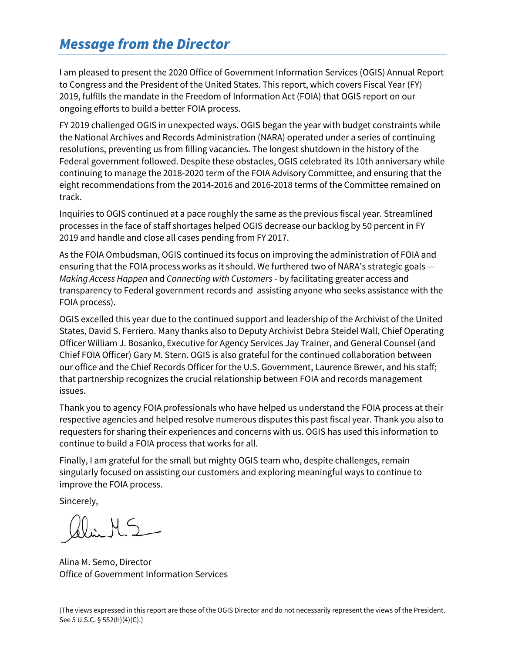### *Message from the Director*

I am pleased to present the 2020 Office of Government Information Services (OGIS) Annual Report to Congress and the President of the United States. This report, which covers Fiscal Year (FY) 2019, fulfills the mandate in the Freedom of Information Act (FOIA) that OGIS report on our ongoing efforts to build a better FOIA process.

FY 2019 challenged OGIS in unexpected ways. OGIS began the year with budget constraints while the National Archives and Records Administration (NARA) operated under a series of continuing resolutions, preventing us from filling vacancies. The longest shutdown in the history of the Federal government followed. Despite these obstacles, OGIS celebrated its 10th anniversary while continuing to manage the 2018-2020 term of the FOIA Advisory Committee, and ensuring that the eight recommendations from the 2014-2016 and 2016-2018 terms of the Committee remained on track.

Inquiries to OGIS continued at a pace roughly the same as the previous fiscal year. Streamlined processes in the face of staff shortages helped OGIS decrease our backlog by 50 percent in FY 2019 and handle and close all cases pending from FY 2017.<br>As the FOIA Ombudsman, OGIS continued its focus on improving the administration of FOIA and

ensuring that the FOIA process works as it should. We furthered two of NARA's strategic goals — *Making Access Happen* and *Connecting with Customers* - by facilitating greater access and transparency to Federal government records and assisting anyone who seeks assistance with the FOIA process).

OGIS excelled this year due to the continued support and leadership of the Archivist of the United States, David S. Ferriero. Many thanks also to Deputy Archivist Debra Steidel Wall, Chief Operating Officer William J. Bosanko, Executive for Agency Services Jay Trainer, and General Counsel (and Chief FOIA Officer) Gary M. Stern. OGIS is also grateful for the continued collaboration between our office and the Chief Records Officer for the U.S. Government, Laurence Brewer, and his staff; that partnership recognizes the crucial relationship between FOIA and records management issues.

Thank you to agency FOIA professionals who have helped us understand the FOIA process at their respective agencies and helped resolve numerous disputes this past fiscal year. Thank you also to requesters for sharing their experiences and concerns with us. OGIS has used this information to continue to build a FOIA process that works for all.

Finally, I am grateful for the small but mighty OGIS team who, despite challenges, remain singularly focused on assisting our customers and exploring meaningful ways to continue to improve the FOIA process.

Sincerely,

 $H_{2}$ 

Alina M. Semo, Director Office of Government Information Services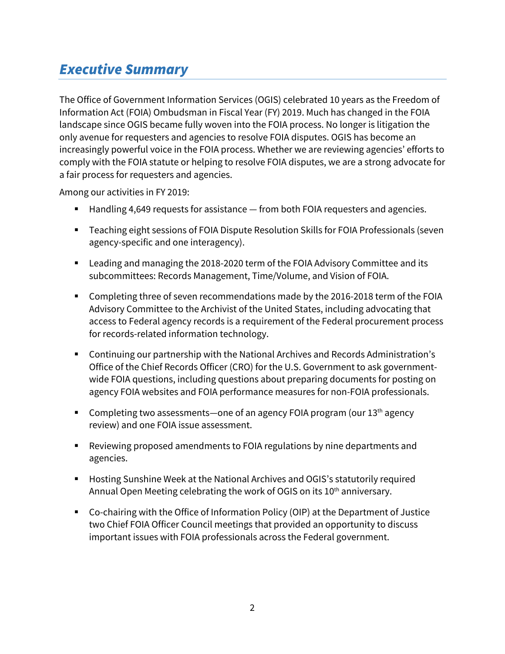## *Executive Summary*

The Office of Government Information Services (OGIS) celebrated 10 years as the Freedom of Information Act (FOIA) Ombudsman in Fiscal Year (FY) 2019. Much has changed in the FOIA landscape since OGIS became fully woven into the FOIA process. No longer is litigation the only avenue for requesters and agencies to resolve FOIA disputes. OGIS has become an increasingly powerful voice in the FOIA process. Whether we are reviewing agencies' efforts to comply with the FOIA statute or helping to resolve FOIA disputes, we are a strong advocate for a fair process for requesters and agencies.

Among our activities in FY 2019:

- Handling 4,649 requests for assistance from both FOIA requesters and agencies.
- Teaching eight sessions of FOIA Dispute Resolution Skills for FOIA Professionals (seven agency-specific and one interagency).
- Leading and managing the 2018-2020 term of the FOIA Advisory Committee and its subcommittees: Records Management, Time/Volume, and Vision of FOIA.
- Completing three of seven recommendations made by the 2016-2018 term of the FOIA Advisory Committee to the Archivist of the United States, including advocating that access to Federal agency records is a requirement of the Federal procurement process for records-related information technology.
- Continuing our partnership with the National Archives and Records Administration's Office of the Chief Records Officer (CRO) for the U.S. Government to ask governmentwide FOIA questions, including questions about preparing documents for posting on agency FOIA websites and FOIA performance measures for non-FOIA professionals.
- Completing two assessments—one of an agency FOIA program (our  $13<sup>th</sup>$  agency review) and one FOIA issue assessment.
- Reviewing proposed amendments to FOIA regulations by nine departments and agencies.
- Hosting Sunshine Week at the National Archives and OGIS's statutorily required Annual Open Meeting celebrating the work of OGIS on its 10<sup>th</sup> anniversary.
- Co-chairing with the Office of Information Policy (OIP) at the Department of Justice two Chief FOIA Officer Council meetings that provided an opportunity to discuss important issues with FOIA professionals across the Federal government.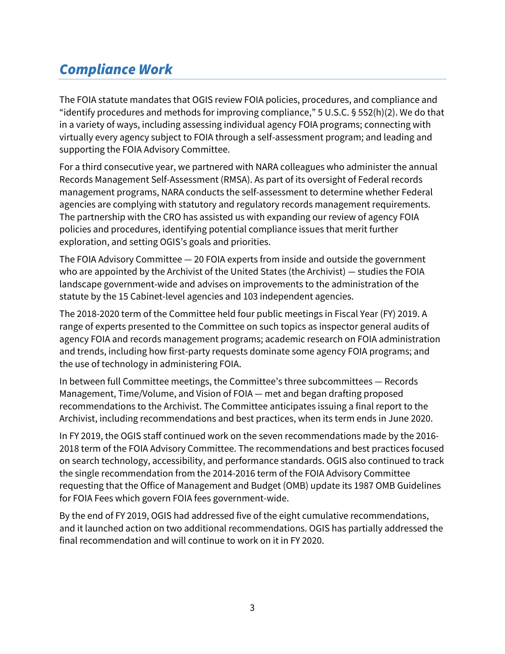## *Compliance Work*

The FOIA statute mandates that OGIS review FOIA policies, procedures, and compliance and "identify procedures and methods for improving compliance," 5 U.S.C. § 552(h)(2). We do that in a variety of ways, including assessing individual agency FOIA programs; connecting with virtually every agency subject to FOIA through a self-assessment program; and leading and supporting the FOIA Advisory Committee.

For a third consecutive year, we partnered with NARA colleagues who administer the annual Records Management Self-Assessment (RMSA). As part of its oversight of Federal records management programs, NARA conducts the self-assessment to determine whether Federal agencies are complying with statutory and regulatory records management requirements. The partnership with the CRO has assisted us with expanding our review of agency FOIA policies and procedures, identifying potential compliance issues that merit further exploration, and setting OGIS's goals and priorities.

The FOIA Advisory Committee — 20 FOIA experts from inside and outside the government who are appointed by the Archivist of the United States (the Archivist) — studies the FOIA landscape government-wide and advises on improvements to the administration of the statute by the 15 Cabinet-level agencies and 103 independent agencies.

The 2018-2020 term of the Committee held four public meetings in Fiscal Year (FY) 2019. A range of experts presented to the Committee on such topics as inspector general audits of agency FOIA and records management programs; academic research on FOIA administration and trends, including how first-party requests dominate some agency FOIA programs; and the use of technology in administering FOIA.

In between full Committee meetings, the Committee's three subcommittees — Records Management, Time/Volume, and Vision of FOIA — met and began drafting proposed recommendations to the Archivist. The Committee anticipates issuing a final report to the Archivist, including recommendations and best practices, when its term ends in June 2020.

In FY 2019, the OGIS staff continued work on the seven recommendations made by the 2016- 2018 term of the FOIA Advisory Committee. The recommendations and best practices focused on search technology, accessibility, and performance standards. OGIS also continued to track the single recommendation from the 2014-2016 term of the FOIA Advisory Committee requesting that the Office of Management and Budget (OMB) update its 1987 OMB Guidelines for FOIA Fees which govern FOIA fees government-wide.

By the end of FY 2019, OGIS had addressed five of the eight cumulative recommendations, and it launched action on two additional recommendations. OGIS has partially addressed the final recommendation and will continue to work on it in FY 2020.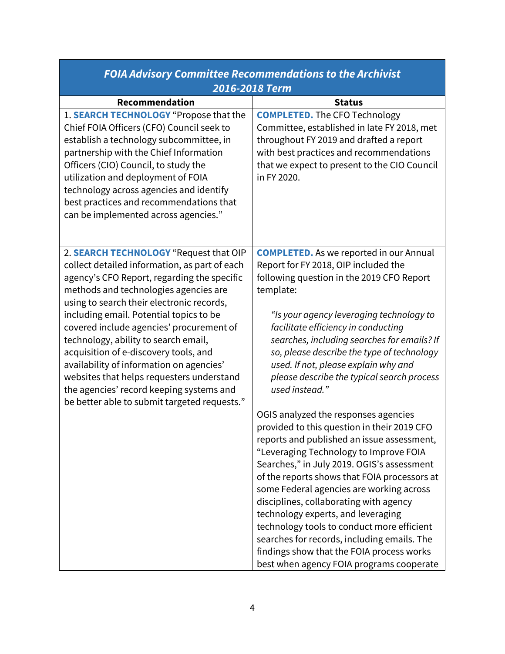| FOIA Advisory Committee Recommendations to the Archivist                                                                                                                                                                                                                                                                                                                                                                                                                                                                                                                                  |                                                                                                                                                                                                                                                                                                                                                                                                                                                                                                                                                                                                                                                                                                                                                                                                                                                                                                                                                                                                                                         |  |
|-------------------------------------------------------------------------------------------------------------------------------------------------------------------------------------------------------------------------------------------------------------------------------------------------------------------------------------------------------------------------------------------------------------------------------------------------------------------------------------------------------------------------------------------------------------------------------------------|-----------------------------------------------------------------------------------------------------------------------------------------------------------------------------------------------------------------------------------------------------------------------------------------------------------------------------------------------------------------------------------------------------------------------------------------------------------------------------------------------------------------------------------------------------------------------------------------------------------------------------------------------------------------------------------------------------------------------------------------------------------------------------------------------------------------------------------------------------------------------------------------------------------------------------------------------------------------------------------------------------------------------------------------|--|
| 2016-2018 Term                                                                                                                                                                                                                                                                                                                                                                                                                                                                                                                                                                            |                                                                                                                                                                                                                                                                                                                                                                                                                                                                                                                                                                                                                                                                                                                                                                                                                                                                                                                                                                                                                                         |  |
| Recommendation<br>1. SEARCH TECHNOLOGY "Propose that the<br>Chief FOIA Officers (CFO) Council seek to<br>establish a technology subcommittee, in<br>partnership with the Chief Information<br>Officers (CIO) Council, to study the<br>utilization and deployment of FOIA<br>technology across agencies and identify<br>best practices and recommendations that<br>can be implemented across agencies."                                                                                                                                                                                    | <b>Status</b><br><b>COMPLETED.</b> The CFO Technology<br>Committee, established in late FY 2018, met<br>throughout FY 2019 and drafted a report<br>with best practices and recommendations<br>that we expect to present to the CIO Council<br>in FY 2020.                                                                                                                                                                                                                                                                                                                                                                                                                                                                                                                                                                                                                                                                                                                                                                               |  |
| 2. SEARCH TECHNOLOGY "Request that OIP<br>collect detailed information, as part of each<br>agency's CFO Report, regarding the specific<br>methods and technologies agencies are<br>using to search their electronic records,<br>including email. Potential topics to be<br>covered include agencies' procurement of<br>technology, ability to search email,<br>acquisition of e-discovery tools, and<br>availability of information on agencies'<br>websites that helps requesters understand<br>the agencies' record keeping systems and<br>be better able to submit targeted requests." | <b>COMPLETED.</b> As we reported in our Annual<br>Report for FY 2018, OIP included the<br>following question in the 2019 CFO Report<br>template:<br>"Is your agency leveraging technology to<br>facilitate efficiency in conducting<br>searches, including searches for emails? If<br>so, please describe the type of technology<br>used. If not, please explain why and<br>please describe the typical search process<br>used instead."<br>OGIS analyzed the responses agencies<br>provided to this question in their 2019 CFO<br>reports and published an issue assessment,<br>"Leveraging Technology to Improve FOIA<br>Searches," in July 2019. OGIS's assessment<br>of the reports shows that FOIA processors at<br>some Federal agencies are working across<br>disciplines, collaborating with agency<br>technology experts, and leveraging<br>technology tools to conduct more efficient<br>searches for records, including emails. The<br>findings show that the FOIA process works<br>best when agency FOIA programs cooperate |  |

## *FOIA Advisory Committee Recommendations to the Archivist*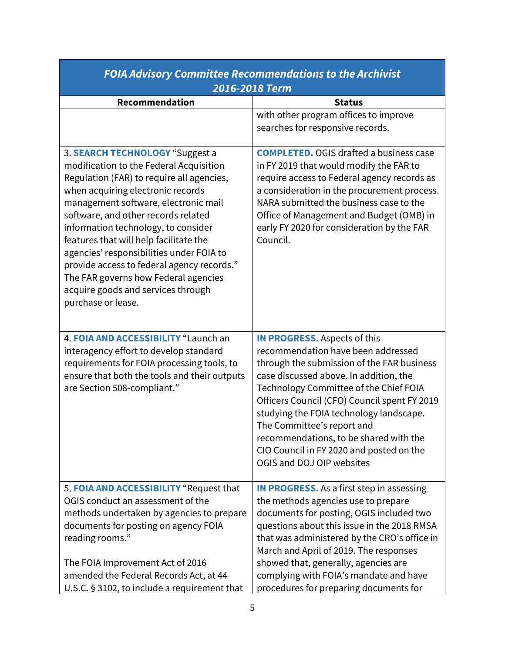| 2016-2018 Term                                                                                                                                                                                                                                                                                                                                                                                                                                                                                                             |                                                                                                                                                                                                                                                                                                                                                                                                                                                         |  |
|----------------------------------------------------------------------------------------------------------------------------------------------------------------------------------------------------------------------------------------------------------------------------------------------------------------------------------------------------------------------------------------------------------------------------------------------------------------------------------------------------------------------------|---------------------------------------------------------------------------------------------------------------------------------------------------------------------------------------------------------------------------------------------------------------------------------------------------------------------------------------------------------------------------------------------------------------------------------------------------------|--|
| Recommendation                                                                                                                                                                                                                                                                                                                                                                                                                                                                                                             | <b>Status</b>                                                                                                                                                                                                                                                                                                                                                                                                                                           |  |
|                                                                                                                                                                                                                                                                                                                                                                                                                                                                                                                            | with other program offices to improve<br>searches for responsive records.                                                                                                                                                                                                                                                                                                                                                                               |  |
| 3. SEARCH TECHNOLOGY "Suggest a<br>modification to the Federal Acquisition<br>Regulation (FAR) to require all agencies,<br>when acquiring electronic records<br>management software, electronic mail<br>software, and other records related<br>information technology, to consider<br>features that will help facilitate the<br>agencies' responsibilities under FOIA to<br>provide access to federal agency records."<br>The FAR governs how Federal agencies<br>acquire goods and services through<br>purchase or lease. | <b>COMPLETED. OGIS drafted a business case</b><br>in FY 2019 that would modify the FAR to<br>require access to Federal agency records as<br>a consideration in the procurement process.<br>NARA submitted the business case to the<br>Office of Management and Budget (OMB) in<br>early FY 2020 for consideration by the FAR<br>Council.                                                                                                                |  |
| 4. FOIA AND ACCESSIBILITY "Launch an<br>interagency effort to develop standard<br>requirements for FOIA processing tools, to<br>ensure that both the tools and their outputs<br>are Section 508-compliant."                                                                                                                                                                                                                                                                                                                | <b>IN PROGRESS.</b> Aspects of this<br>recommendation have been addressed<br>through the submission of the FAR business<br>case discussed above. In addition, the<br>Technology Committee of the Chief FOIA<br>Officers Council (CFO) Council spent FY 2019<br>studying the FOIA technology landscape.<br>The Committee's report and<br>recommendations, to be shared with the<br>CIO Council in FY 2020 and posted on the<br>OGIS and DOJ OIP websites |  |
| 5. FOIA AND ACCESSIBILITY "Request that<br>OGIS conduct an assessment of the<br>methods undertaken by agencies to prepare<br>documents for posting on agency FOIA<br>reading rooms."<br>The FOIA Improvement Act of 2016<br>amended the Federal Records Act, at 44<br>U.S.C. § 3102, to include a requirement that                                                                                                                                                                                                         | <b>IN PROGRESS.</b> As a first step in assessing<br>the methods agencies use to prepare<br>documents for posting, OGIS included two<br>questions about this issue in the 2018 RMSA<br>that was administered by the CRO's office in<br>March and April of 2019. The responses<br>showed that, generally, agencies are<br>complying with FOIA's mandate and have<br>procedures for preparing documents for                                                |  |

# *FOIA Advisory Committee Recommendations to the Archivist*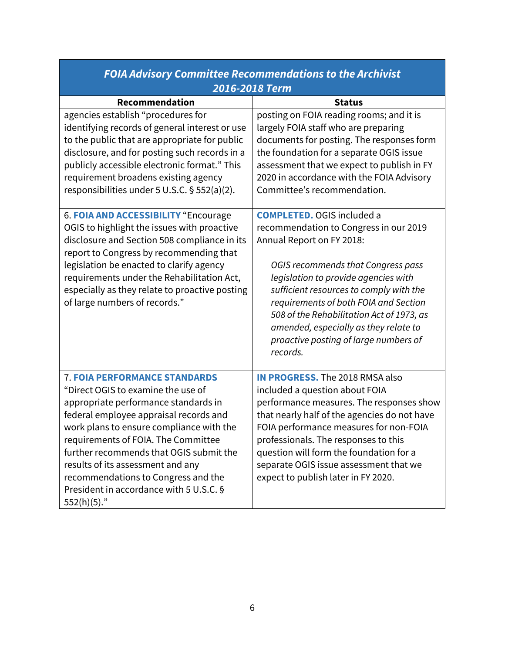| FOIA Advisory Committee Recommendations to the Archivist                                                                                                                                                                                                                                                                                                                                                                            |                                                                                                                                                                                                                                                                                                                                                                                                                       |  |
|-------------------------------------------------------------------------------------------------------------------------------------------------------------------------------------------------------------------------------------------------------------------------------------------------------------------------------------------------------------------------------------------------------------------------------------|-----------------------------------------------------------------------------------------------------------------------------------------------------------------------------------------------------------------------------------------------------------------------------------------------------------------------------------------------------------------------------------------------------------------------|--|
| 2016-2018 Term                                                                                                                                                                                                                                                                                                                                                                                                                      |                                                                                                                                                                                                                                                                                                                                                                                                                       |  |
| Recommendation                                                                                                                                                                                                                                                                                                                                                                                                                      | <b>Status</b>                                                                                                                                                                                                                                                                                                                                                                                                         |  |
| agencies establish "procedures for<br>identifying records of general interest or use<br>to the public that are appropriate for public<br>disclosure, and for posting such records in a<br>publicly accessible electronic format." This<br>requirement broadens existing agency<br>responsibilities under 5 U.S.C. § 552(a)(2).                                                                                                      | posting on FOIA reading rooms; and it is<br>largely FOIA staff who are preparing<br>documents for posting. The responses form<br>the foundation for a separate OGIS issue<br>assessment that we expect to publish in FY<br>2020 in accordance with the FOIA Advisory<br>Committee's recommendation.                                                                                                                   |  |
| 6. FOIA AND ACCESSIBILITY "Encourage<br>OGIS to highlight the issues with proactive<br>disclosure and Section 508 compliance in its<br>report to Congress by recommending that<br>legislation be enacted to clarify agency<br>requirements under the Rehabilitation Act,<br>especially as they relate to proactive posting<br>of large numbers of records."                                                                         | <b>COMPLETED. OGIS included a</b><br>recommendation to Congress in our 2019<br>Annual Report on FY 2018:<br>OGIS recommends that Congress pass<br>legislation to provide agencies with<br>sufficient resources to comply with the<br>requirements of both FOIA and Section<br>508 of the Rehabilitation Act of 1973, as<br>amended, especially as they relate to<br>proactive posting of large numbers of<br>records. |  |
| <b>7. FOIA PERFORMANCE STANDARDS</b><br>"Direct OGIS to examine the use of<br>appropriate performance standards in<br>federal employee appraisal records and<br>work plans to ensure compliance with the<br>requirements of FOIA. The Committee<br>further recommends that OGIS submit the<br>results of its assessment and any<br>recommendations to Congress and the<br>President in accordance with 5 U.S.C. §<br>$552(h)(5)$ ." | <b>IN PROGRESS. The 2018 RMSA also</b><br>included a question about FOIA<br>performance measures. The responses show<br>that nearly half of the agencies do not have<br>FOIA performance measures for non-FOIA<br>professionals. The responses to this<br>question will form the foundation for a<br>separate OGIS issue assessment that we<br>expect to publish later in FY 2020.                                    |  |

## *FOIA Advisory Committee Recommendations to the Archivist*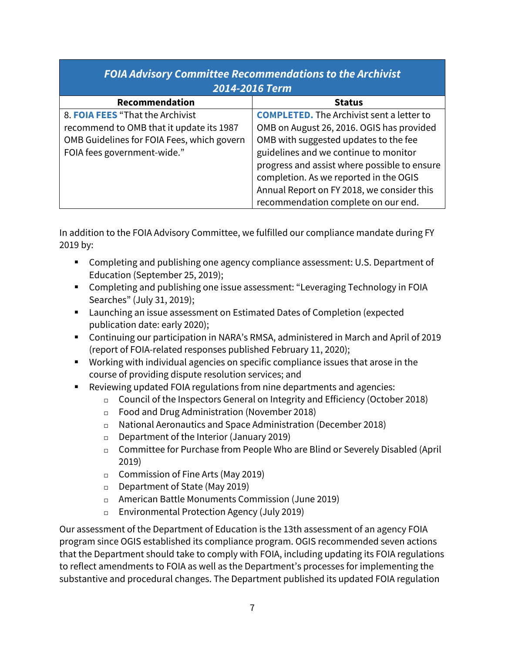#### *FOIA Advisory Committee Recommendations to the Archivist 2014-2016 Term*  Recommendation and **Recommendation** 8. **FOIA FEES** "That the Archivist recommend to OMB that it update its 1987 OMB Guidelines for FOIA Fees, which govern FOIA fees government-wide." **COMPLETED.** The Archivist sent a letter to OMB on August 26, 2016. OGIS has provided OMB with suggested updates to the fee guidelines and we continue to monitor progress and assist where possible to ensure completion. As we reported in the OGIS Annual Report on FY 2018, we consider this recommendation complete on our end.

In addition to the FOIA Advisory Committee, we fulfilled our compliance mandate during FY 2019 by:

- Completing and publishing one agency compliance assessment: U.S. Department of Education (September 25, 2019);
- Completing and publishing one issue assessment: "Leveraging Technology in FOIA Searches" (July 31, 2019);
- Launching an issue assessment on Estimated Dates of Completion (expected publication date: early 2020);
- Continuing our participation in NARA's RMSA, administered in March and April of 2019 (report of FOIA-related responses published February 11, 2020);
- Working with individual agencies on specific compliance issues that arose in the course of providing dispute resolution services; and
- Reviewing updated FOIA regulations from nine departments and agencies:
	- $\Box$  Council of the Inspectors General on Integrity and Efficiency (October 2018)
	- Food and Drug Administration (November 2018)
	- National Aeronautics and Space Administration (December 2018)
	- $\Box$  Department of the Interior (January 2019)
	- Committee for Purchase from People Who are Blind or Severely Disabled (April 2019)
	- $\Box$  Commission of Fine Arts (May 2019)
	- $D$  Department of State (May 2019)
	- American Battle Monuments Commission (June 2019)
	- Environmental Protection Agency (July 2019)

Our assessment of the Department of Education is the 13th assessment of an agency FOIA program since OGIS established its compliance program. OGIS recommended seven actions that the Department should take to comply with FOIA, including updating its FOIA regulations to reflect amendments to FOIA as well as the Department's processes for implementing the substantive and procedural changes. The Department published its updated FOIA regulation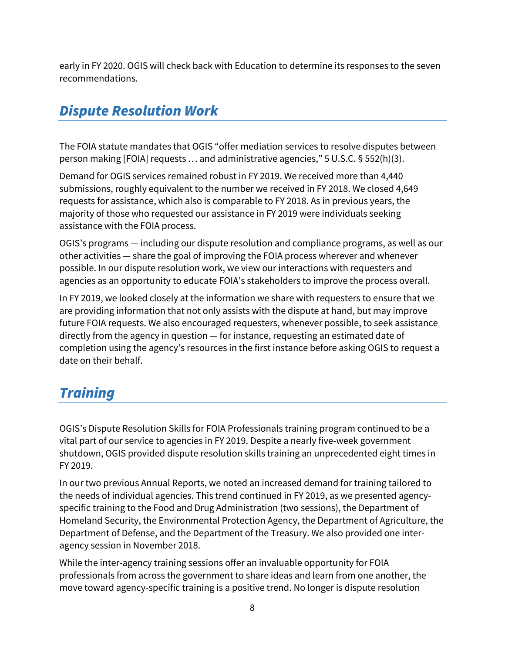early in FY 2020. OGIS will check back with Education to determine its responses to the seven recommendations.

## *Dispute Resolution Work*

The FOIA statute mandates that OGIS "offer mediation services to resolve disputes between person making [FOIA] requests … and administrative agencies," 5 U.S.C. § 552(h)(3).

Demand for OGIS services remained robust in FY 2019. We received more than 4,440 submissions, roughly equivalent to the number we received in FY 2018. We closed 4,649 requests for assistance, which also is comparable to FY 2018. As in previous years, the majority of those who requested our assistance in FY 2019 were individuals seeking assistance with the FOIA process.

OGIS's programs — including our dispute resolution and compliance programs, as well as our other activities — share the goal of improving the FOIA process wherever and whenever possible. In our dispute resolution work, we view our interactions with requesters and agencies as an opportunity to educate FOIA's stakeholders to improve the process overall.

In FY 2019, we looked closely at the information we share with requesters to ensure that we are providing information that not only assists with the dispute at hand, but may improve future FOIA requests. We also encouraged requesters, whenever possible, to seek assistance directly from the agency in question — for instance, requesting an estimated date of completion using the agency's resources in the first instance before asking OGIS to request a date on their behalf.

## *Training*

OGIS's Dispute Resolution Skills for FOIA Professionals training program continued to be a vital part of our service to agencies in FY 2019. Despite a nearly five-week government shutdown, OGIS provided dispute resolution skills training an unprecedented eight times in FY 2019.

In our two previous Annual Reports, we noted an increased demand for training tailored to the needs of individual agencies. This trend continued in FY 2019, as we presented agencyspecific training to the Food and Drug Administration (two sessions), the Department of Homeland Security, the Environmental Protection Agency, the Department of Agriculture, the Department of Defense, and the Department of the Treasury. We also provided one interagency session in November 2018.

While the inter-agency training sessions offer an invaluable opportunity for FOIA professionals from across the government to share ideas and learn from one another, the move toward agency-specific training is a positive trend. No longer is dispute resolution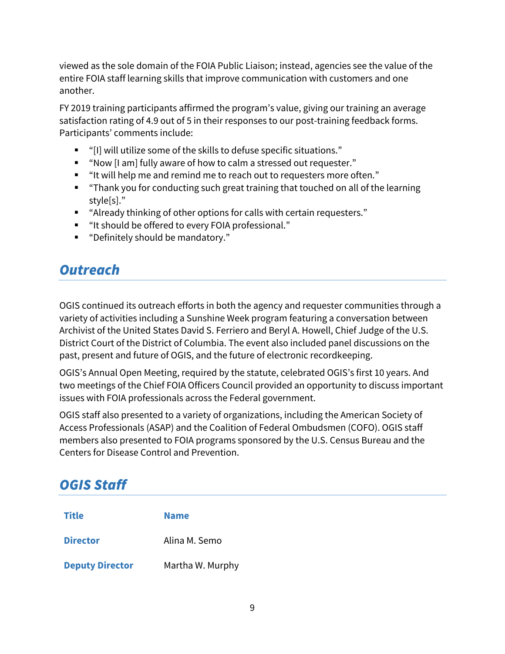viewed as the sole domain of the FOIA Public Liaison; instead, agencies see the value of the entire FOIA staff learning skills that improve communication with customers and one another.

FY 2019 training participants affirmed the program's value, giving our training an average satisfaction rating of 4.9 out of 5 in their responses to our post-training feedback forms. Participants' comments include:

- "[I] will utilize some of the skills to defuse specific situations."
- "Now [I am] fully aware of how to calm a stressed out requester."
- "It will help me and remind me to reach out to requesters more often."
- "Thank you for conducting such great training that touched on all of the learning style[s]."
- "Already thinking of other options for calls with certain requesters."
- "It should be offered to every FOIA professional."
- "Definitely should be mandatory."

### *Outreach*

OGIS continued its outreach efforts in both the agency and requester communities through a variety of activities including a Sunshine Week program featuring a conversation between Archivist of the United States David S. Ferriero and Beryl A. Howell, Chief Judge of the U.S. District Court of the District of Columbia. The event also included panel discussions on the past, present and future of OGIS, and the future of electronic recordkeeping.

OGIS's Annual Open Meeting, required by the statute, celebrated OGIS's first 10 years. And two meetings of the Chief FOIA Officers Council provided an opportunity to discuss important issues with FOIA professionals across the Federal government.

OGIS staff also presented to a variety of organizations, including the American Society of Access Professionals (ASAP) and the Coalition of Federal Ombudsmen (COFO). OGIS staff members also presented to FOIA programs sponsored by the U.S. Census Bureau and the Centers for Disease Control and Prevention.

### *OGIS Staff*

| <b>Title</b>           | <b>Name</b>      |
|------------------------|------------------|
| <b>Director</b>        | Alina M. Semo    |
| <b>Deputy Director</b> | Martha W. Murphy |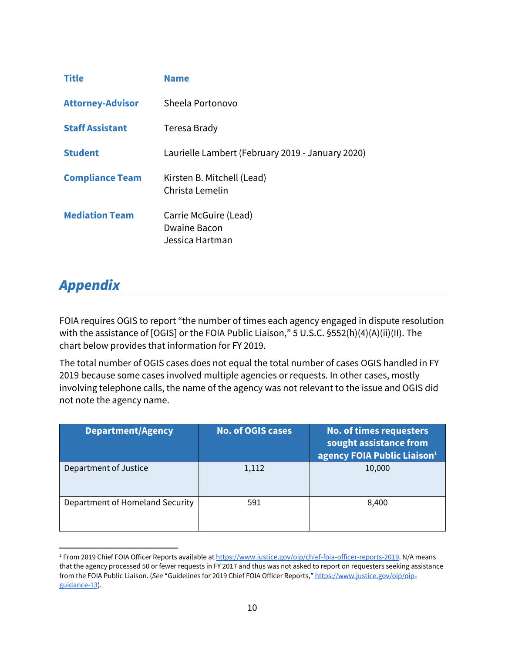| <b>Title</b>            | <b>Name</b>                                                     |
|-------------------------|-----------------------------------------------------------------|
| <b>Attorney-Advisor</b> | Sheela Portonovo                                                |
| <b>Staff Assistant</b>  | Teresa Brady                                                    |
| <b>Student</b>          | Laurielle Lambert (February 2019 - January 2020)                |
| <b>Compliance Team</b>  | Kirsten B. Mitchell (Lead)<br>Christa Lemelin                   |
| <b>Mediation Team</b>   | Carrie McGuire (Lead)<br><b>Dwaine Bacon</b><br>Jessica Hartman |

## *Appendix*

FOIA requires OGIS to report "the number of times each agency engaged in dispute resolution with the assistance of [OGIS] or the FOIA Public Liaison," 5 U.S.C. §552(h)(4)(A)(ii)(II). The chart below provides that information for FY 2019.

The total number of OGIS cases does not equal the total number of cases OGIS handled in FY 2019 because some cases involved multiple agencies or requests. In other cases, mostly involving telephone calls, the name of the agency was not relevant to the issue and OGIS did not note the agency name.

| <b>Department/Agency</b>        | <b>No. of OGIS cases</b> | No. of times requesters<br>sought assistance from<br>agency FOIA Public Liaison <sup>1</sup> |
|---------------------------------|--------------------------|----------------------------------------------------------------------------------------------|
| Department of Justice           | 1,112                    | 10,000                                                                                       |
| Department of Homeland Security | 591                      | 8,400                                                                                        |

<sup>&</sup>lt;sup>1</sup> From 2019 Chief FOIA Officer Reports available at <u>https://www.justice.gov/oip/chief-foia-officer-reports-2019</u>. N/A means that the agency processed 50 or fewer requests in FY 2017 and thus was not asked to report on requesters seeking assistance from the FOIA Public Liaison. (*See* "Guidelines for 2019 Chief FOIA Officer Reports," [https://www.justice.gov/oip/oip](https://www.justice.gov/oip/oip-guidance-13)guidance-13).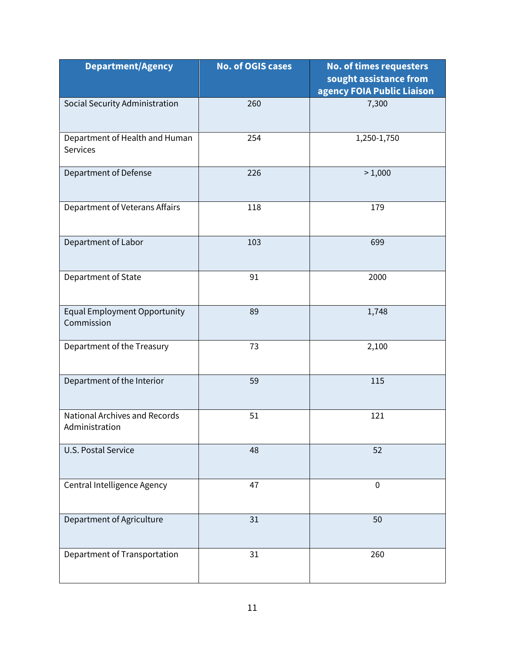| <b>Department/Agency</b>                               | <b>No. of OGIS cases</b> | <b>No. of times requesters</b><br>sought assistance from<br>agency FOIA Public Liaison |
|--------------------------------------------------------|--------------------------|----------------------------------------------------------------------------------------|
| Social Security Administration                         | 260                      | 7,300                                                                                  |
| Department of Health and Human<br><b>Services</b>      | 254                      | 1,250-1,750                                                                            |
| Department of Defense                                  | 226                      | >1,000                                                                                 |
| Department of Veterans Affairs                         | 118                      | 179                                                                                    |
| Department of Labor                                    | 103                      | 699                                                                                    |
| Department of State                                    | 91                       | 2000                                                                                   |
| <b>Equal Employment Opportunity</b><br>Commission      | 89                       | 1,748                                                                                  |
| Department of the Treasury                             | 73                       | 2,100                                                                                  |
| Department of the Interior                             | 59                       | 115                                                                                    |
| <b>National Archives and Records</b><br>Administration | 51                       | 121                                                                                    |
| <b>U.S. Postal Service</b>                             | 48                       | 52                                                                                     |
| Central Intelligence Agency                            | 47                       | $\mathbf 0$                                                                            |
| Department of Agriculture                              | 31                       | 50                                                                                     |
| Department of Transportation                           | 31                       | 260                                                                                    |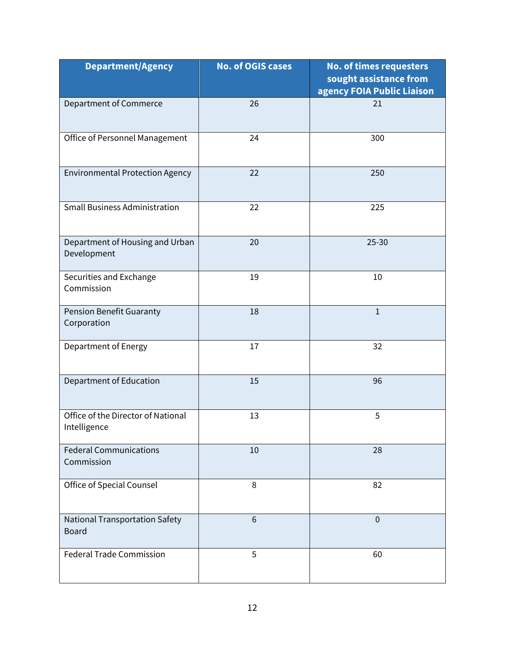| <b>Department/Agency</b>                           | <b>No. of OGIS cases</b> | <b>No. of times requesters</b><br>sought assistance from<br>agency FOIA Public Liaison |
|----------------------------------------------------|--------------------------|----------------------------------------------------------------------------------------|
| <b>Department of Commerce</b>                      | 26                       | 21                                                                                     |
| Office of Personnel Management                     | 24                       | 300                                                                                    |
| <b>Environmental Protection Agency</b>             | 22                       | 250                                                                                    |
| <b>Small Business Administration</b>               | 22                       | 225                                                                                    |
| Department of Housing and Urban<br>Development     | 20                       | $25 - 30$                                                                              |
| Securities and Exchange<br>Commission              | 19                       | 10                                                                                     |
| <b>Pension Benefit Guaranty</b><br>Corporation     | 18                       | $\mathbf{1}$                                                                           |
| Department of Energy                               | 17                       | 32                                                                                     |
| Department of Education                            | 15                       | 96                                                                                     |
| Office of the Director of National<br>Intelligence | 13                       | 5                                                                                      |
| <b>Federal Communications</b><br>Commission        | 10                       | 28                                                                                     |
| Office of Special Counsel                          | 8                        | 82                                                                                     |
| National Transportation Safety<br><b>Board</b>     | 6                        | $\mathbf 0$                                                                            |
| <b>Federal Trade Commission</b>                    | 5                        | 60                                                                                     |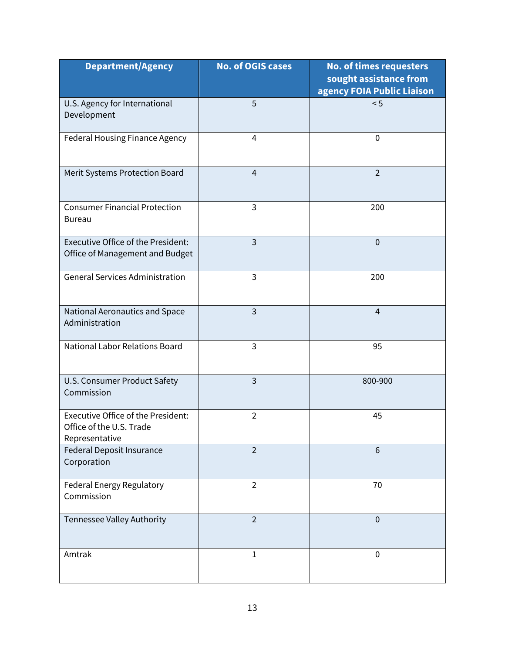| <b>Department/Agency</b>                                                         | <b>No. of OGIS cases</b> | <b>No. of times requesters</b><br>sought assistance from<br>agency FOIA Public Liaison |
|----------------------------------------------------------------------------------|--------------------------|----------------------------------------------------------------------------------------|
| U.S. Agency for International<br>Development                                     | 5                        | < 5                                                                                    |
| Federal Housing Finance Agency                                                   | $\overline{4}$           | $\mathbf 0$                                                                            |
| Merit Systems Protection Board                                                   | 4                        | $\overline{2}$                                                                         |
| <b>Consumer Financial Protection</b><br><b>Bureau</b>                            | $\overline{3}$           | 200                                                                                    |
| Executive Office of the President:<br>Office of Management and Budget            | $\overline{3}$           | $\mathbf 0$                                                                            |
| <b>General Services Administration</b>                                           | $\overline{3}$           | 200                                                                                    |
| National Aeronautics and Space<br>Administration                                 | $\overline{3}$           | $\overline{4}$                                                                         |
| <b>National Labor Relations Board</b>                                            | $\overline{3}$           | 95                                                                                     |
| U.S. Consumer Product Safety<br>Commission                                       | $\overline{3}$           | 800-900                                                                                |
| Executive Office of the President:<br>Office of the U.S. Trade<br>Representative | $\overline{2}$           | 45                                                                                     |
| Federal Deposit Insurance<br>Corporation                                         | $\overline{2}$           | 6                                                                                      |
| Federal Energy Regulatory<br>Commission                                          | $\overline{2}$           | 70                                                                                     |
| Tennessee Valley Authority                                                       | $\overline{2}$           | $\mathbf 0$                                                                            |
| Amtrak                                                                           | $\mathbf{1}$             | $\mathbf 0$                                                                            |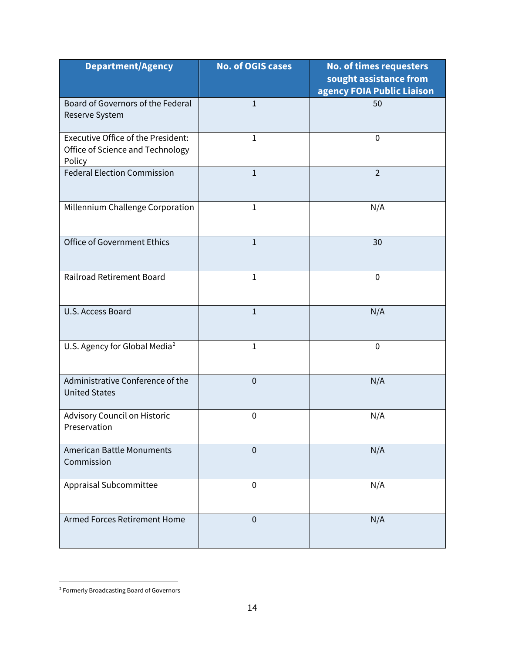| <b>Department/Agency</b>                                                         | <b>No. of OGIS cases</b> | <b>No. of times requesters</b><br>sought assistance from |
|----------------------------------------------------------------------------------|--------------------------|----------------------------------------------------------|
|                                                                                  |                          | agency FOIA Public Liaison                               |
| Board of Governors of the Federal<br>Reserve System                              | $\mathbf{1}$             | 50                                                       |
| Executive Office of the President:<br>Office of Science and Technology<br>Policy | $\mathbf{1}$             | $\mathbf 0$                                              |
| <b>Federal Election Commission</b>                                               | $\mathbf{1}$             | $\overline{2}$                                           |
| Millennium Challenge Corporation                                                 | $\mathbf{1}$             | N/A                                                      |
| Office of Government Ethics                                                      | $\mathbf{1}$             | 30                                                       |
| <b>Railroad Retirement Board</b>                                                 | $\mathbf{1}$             | $\mathbf 0$                                              |
| U.S. Access Board                                                                | $\mathbf{1}$             | N/A                                                      |
| U.S. Agency for Global Media <sup>2</sup>                                        | $\mathbf{1}$             | $\mathbf 0$                                              |
| Administrative Conference of the<br><b>United States</b>                         | $\mathbf 0$              | N/A                                                      |
| Advisory Council on Historic<br>Preservation                                     | $\mathbf 0$              | N/A                                                      |
| <b>American Battle Monuments</b><br>Commission                                   | 0                        | N/A                                                      |
| Appraisal Subcommittee                                                           | $\mathbf 0$              | N/A                                                      |
| Armed Forces Retirement Home                                                     | $\mathbf 0$              | N/A                                                      |

 $\overline{\phantom{a}}$ 

<span id="page-14-0"></span><sup>&</sup>lt;sup>2</sup> Formerly Broadcasting Board of Governors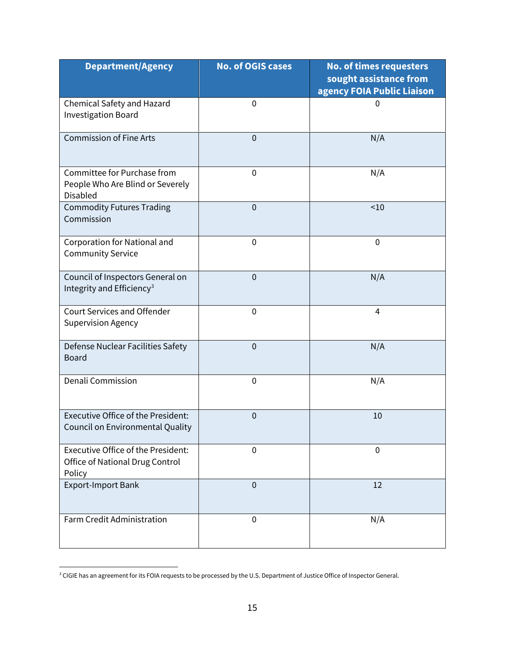| <b>Department/Agency</b>                                                               | <b>No. of OGIS cases</b> | <b>No. of times requesters</b><br>sought assistance from<br>agency FOIA Public Liaison |
|----------------------------------------------------------------------------------------|--------------------------|----------------------------------------------------------------------------------------|
| Chemical Safety and Hazard<br><b>Investigation Board</b>                               | $\mathbf 0$              | 0                                                                                      |
| <b>Commission of Fine Arts</b>                                                         | $\mathbf{0}$             | N/A                                                                                    |
| Committee for Purchase from<br>People Who Are Blind or Severely<br><b>Disabled</b>     | $\mathbf 0$              | N/A                                                                                    |
| <b>Commodity Futures Trading</b><br>Commission                                         | $\mathbf 0$              | ~10                                                                                    |
| Corporation for National and<br><b>Community Service</b>                               | $\mathbf 0$              | $\mathbf 0$                                                                            |
| Council of Inspectors General on<br>Integrity and Efficiency <sup>3</sup>              | $\mathbf 0$              | N/A                                                                                    |
| <b>Court Services and Offender</b><br><b>Supervision Agency</b>                        | $\mathbf 0$              | $\overline{4}$                                                                         |
| Defense Nuclear Facilities Safety<br><b>Board</b>                                      | $\mathbf 0$              | N/A                                                                                    |
| Denali Commission                                                                      | $\mathbf 0$              | N/A                                                                                    |
| Executive Office of the President:<br>Council on Environmental Quality                 | $\mathbf{0}$             | 10                                                                                     |
| <b>Executive Office of the President:</b><br>Office of National Drug Control<br>Policy | $\mathbf{0}$             | $\mathbf 0$                                                                            |
| <b>Export-Import Bank</b>                                                              | $\mathbf 0$              | 12                                                                                     |
| Farm Credit Administration                                                             | $\mathbf 0$              | N/A                                                                                    |

<span id="page-15-0"></span><sup>&</sup>lt;sup>3</sup> CIGIE has an agreement for its FOIA requests to be processed by the U.S. Department of Justice Office of Inspector General.

 $\overline{a}$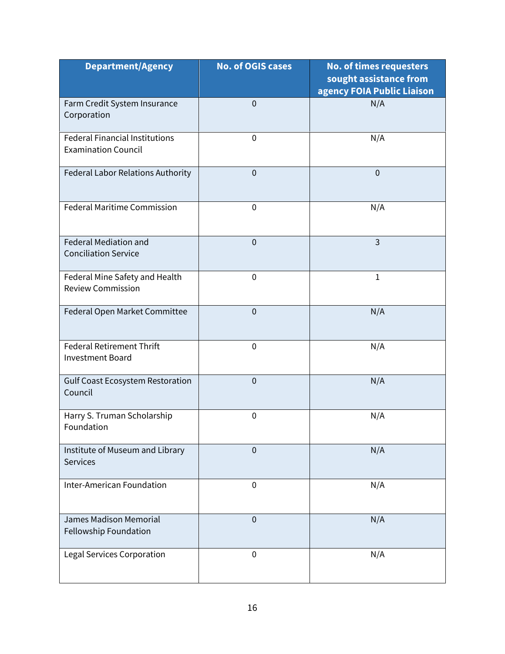| <b>Department/Agency</b>                                            | <b>No. of OGIS cases</b> | <b>No. of times requesters</b><br>sought assistance from<br>agency FOIA Public Liaison |
|---------------------------------------------------------------------|--------------------------|----------------------------------------------------------------------------------------|
| Farm Credit System Insurance<br>Corporation                         | $\overline{0}$           | N/A                                                                                    |
| <b>Federal Financial Institutions</b><br><b>Examination Council</b> | $\mathbf 0$              | N/A                                                                                    |
| Federal Labor Relations Authority                                   | $\mathbf 0$              | $\mathbf{0}$                                                                           |
| <b>Federal Maritime Commission</b>                                  | $\mathbf 0$              | N/A                                                                                    |
| <b>Federal Mediation and</b><br><b>Conciliation Service</b>         | $\overline{0}$           | $\overline{3}$                                                                         |
| Federal Mine Safety and Health<br><b>Review Commission</b>          | $\mathbf 0$              | $\mathbf{1}$                                                                           |
| Federal Open Market Committee                                       | $\overline{0}$           | N/A                                                                                    |
| <b>Federal Retirement Thrift</b><br><b>Investment Board</b>         | $\mathbf 0$              | N/A                                                                                    |
| <b>Gulf Coast Ecosystem Restoration</b><br>Council                  | $\mathbf 0$              | N/A                                                                                    |
| Harry S. Truman Scholarship<br>Foundation                           | $\boldsymbol{0}$         | N/A                                                                                    |
| Institute of Museum and Library<br><b>Services</b>                  | $\overline{0}$           | N/A                                                                                    |
| <b>Inter-American Foundation</b>                                    | $\mathbf 0$              | N/A                                                                                    |
| <b>James Madison Memorial</b><br>Fellowship Foundation              | $\mathbf 0$              | N/A                                                                                    |
| <b>Legal Services Corporation</b>                                   | $\mathbf 0$              | N/A                                                                                    |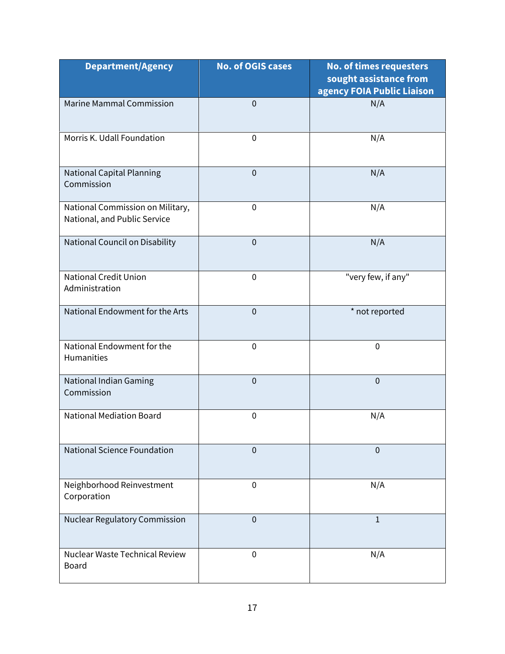| <b>Department/Agency</b>                                         | <b>No. of OGIS cases</b> | <b>No. of times requesters</b><br>sought assistance from<br>agency FOIA Public Liaison |
|------------------------------------------------------------------|--------------------------|----------------------------------------------------------------------------------------|
| <b>Marine Mammal Commission</b>                                  | $\mathbf{0}$             | N/A                                                                                    |
| Morris K. Udall Foundation                                       | $\mathbf 0$              | N/A                                                                                    |
| <b>National Capital Planning</b><br>Commission                   | $\overline{0}$           | N/A                                                                                    |
| National Commission on Military,<br>National, and Public Service | $\mathbf 0$              | N/A                                                                                    |
| National Council on Disability                                   | $\mathbf{0}$             | N/A                                                                                    |
| <b>National Credit Union</b><br>Administration                   | $\mathbf 0$              | "very few, if any"                                                                     |
| National Endowment for the Arts                                  | $\mathbf{0}$             | * not reported                                                                         |
| National Endowment for the<br>Humanities                         | $\mathbf 0$              | $\mathbf 0$                                                                            |
| National Indian Gaming<br>Commission                             | $\mathbf{0}$             | $\mathbf{0}$                                                                           |
| <b>National Mediation Board</b>                                  | $\mathbf 0$              | N/A                                                                                    |
| <b>National Science Foundation</b>                               | $\overline{0}$           | $\mathbf 0$                                                                            |
| Neighborhood Reinvestment<br>Corporation                         | $\mathbf 0$              | N/A                                                                                    |
| Nuclear Regulatory Commission                                    | $\mathbf{0}$             | $\mathbf{1}$                                                                           |
| Nuclear Waste Technical Review<br><b>Board</b>                   | $\mathbf 0$              | N/A                                                                                    |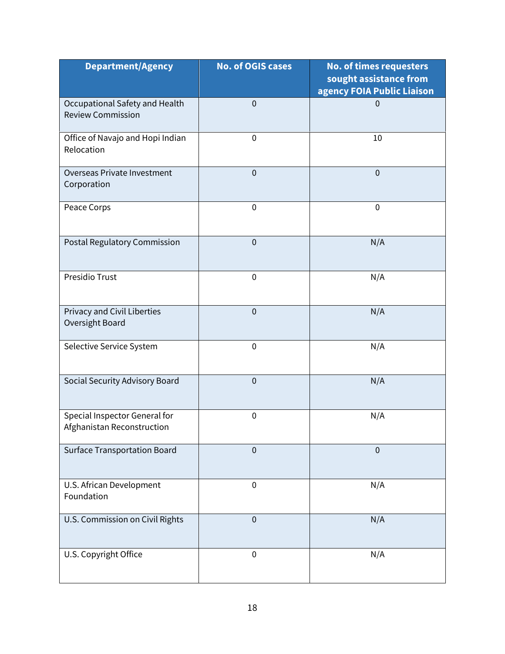| <b>Department/Agency</b>                                    | <b>No. of OGIS cases</b> | <b>No. of times requesters</b><br>sought assistance from<br>agency FOIA Public Liaison |
|-------------------------------------------------------------|--------------------------|----------------------------------------------------------------------------------------|
| Occupational Safety and Health<br><b>Review Commission</b>  | $\mathbf 0$              | $\mathbf{0}$                                                                           |
| Office of Navajo and Hopi Indian<br>Relocation              | $\mathbf 0$              | 10                                                                                     |
| Overseas Private Investment<br>Corporation                  | $\mathbf 0$              | $\mathbf 0$                                                                            |
| Peace Corps                                                 | $\mathbf 0$              | $\mathbf 0$                                                                            |
| Postal Regulatory Commission                                | $\mathbf 0$              | N/A                                                                                    |
| <b>Presidio Trust</b>                                       | $\mathbf 0$              | N/A                                                                                    |
| Privacy and Civil Liberties<br>Oversight Board              | $\mathbf 0$              | N/A                                                                                    |
| Selective Service System                                    | $\mathbf 0$              | N/A                                                                                    |
| Social Security Advisory Board                              | $\mathbf 0$              | N/A                                                                                    |
| Special Inspector General for<br>Afghanistan Reconstruction | $\boldsymbol{0}$         | N/A                                                                                    |
| <b>Surface Transportation Board</b>                         | $\mathbf 0$              | $\mathbf 0$                                                                            |
| U.S. African Development<br>Foundation                      | $\mathbf 0$              | N/A                                                                                    |
| U.S. Commission on Civil Rights                             | $\mathbf 0$              | N/A                                                                                    |
| U.S. Copyright Office                                       | $\mathbf 0$              | N/A                                                                                    |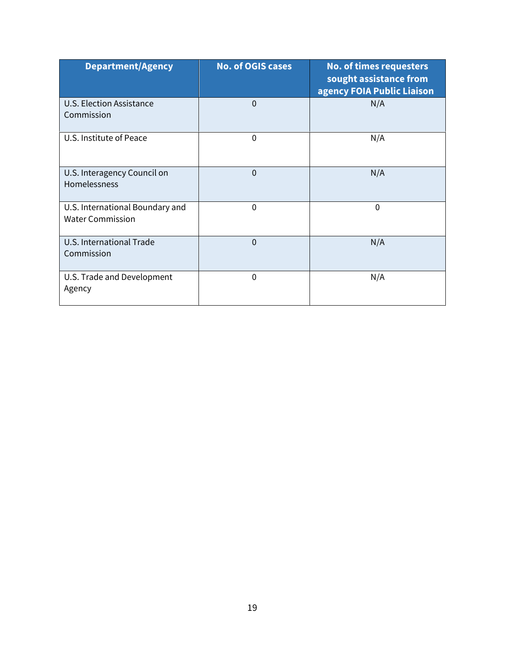| <b>Department/Agency</b>                                   | <b>No. of OGIS cases</b> | <b>No. of times requesters</b><br>sought assistance from<br>agency FOIA Public Liaison |
|------------------------------------------------------------|--------------------------|----------------------------------------------------------------------------------------|
| <b>U.S. Election Assistance</b><br>Commission              | $\Omega$                 | N/A                                                                                    |
| U.S. Institute of Peace                                    | $\mathbf{0}$             | N/A                                                                                    |
| U.S. Interagency Council on<br>Homelessness                | $\Omega$                 | N/A                                                                                    |
| U.S. International Boundary and<br><b>Water Commission</b> | 0                        | $\mathbf 0$                                                                            |
| U.S. International Trade<br>Commission                     | $\mathbf{0}$             | N/A                                                                                    |
| U.S. Trade and Development<br>Agency                       | $\Omega$                 | N/A                                                                                    |